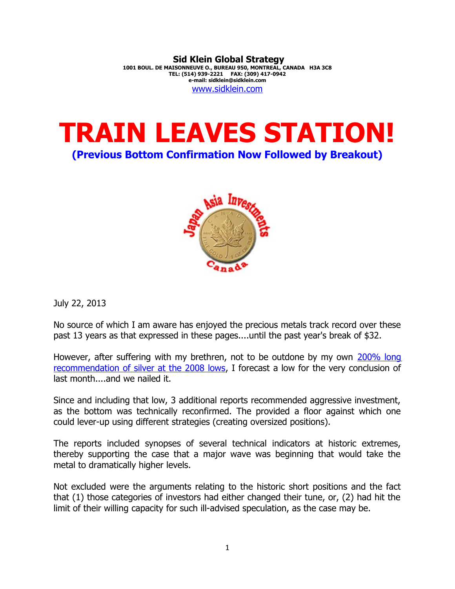**Sid Klein Global Strategy 1001 BOUL. DE MAISONNEUVE O., BUREAU 950, MONTREAL, CANADA H3A 3C8 TEL: (514) 939-2221 FAX: (309) 417-0942 e-mail: sidklein@sidklein.com** [www.sidklein.com](http://www.sidklein.com/)





July 22, 2013

No source of which I am aware has enjoyed the precious metals track record over these past 13 years as that expressed in these pages....until the past year's break of \$32.

However, after suffering with my brethren, not to be outdone by my own [200% long](http://www.sidklein.com/NewComments/13-11-2008%20Dow%20silver..pdf) [recommendation of silver at the 2008 lows,](http://www.sidklein.com/NewComments/13-11-2008%20Dow%20silver..pdf) I forecast a low for the very conclusion of last month....and we nailed it.

Since and including that low, 3 additional reports recommended aggressive investment, as the bottom was technically reconfirmed. The provided a floor against which one could lever-up using different strategies (creating oversized positions).

The reports included synopses of several technical indicators at historic extremes, thereby supporting the case that a major wave was beginning that would take the metal to dramatically higher levels.

Not excluded were the arguments relating to the historic short positions and the fact that (1) those categories of investors had either changed their tune, or, (2) had hit the limit of their willing capacity for such ill-advised speculation, as the case may be.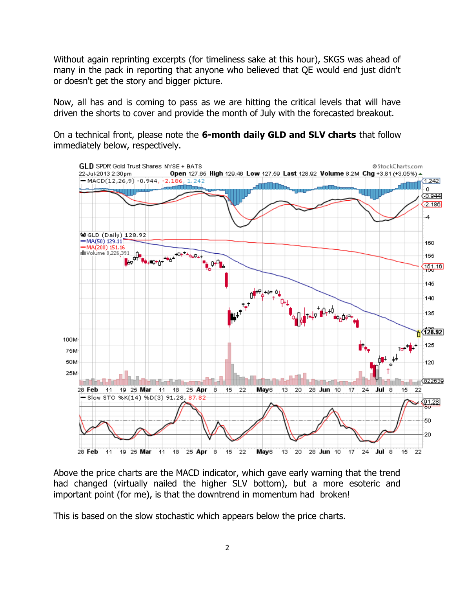Without again reprinting excerpts (for timeliness sake at this hour), SKGS was ahead of many in the pack in reporting that anyone who believed that QE would end just didn't or doesn't get the story and bigger picture.

Now, all has and is coming to pass as we are hitting the critical levels that will have driven the shorts to cover and provide the month of July with the forecasted breakout.

On a technical front, please note the **6-month daily GLD and SLV charts** that follow immediately below, respectively.



Above the price charts are the MACD indicator, which gave early warning that the trend had changed (virtually nailed the higher SLV bottom), but a more esoteric and important point (for me), is that the downtrend in momentum had broken!

This is based on the slow stochastic which appears below the price charts.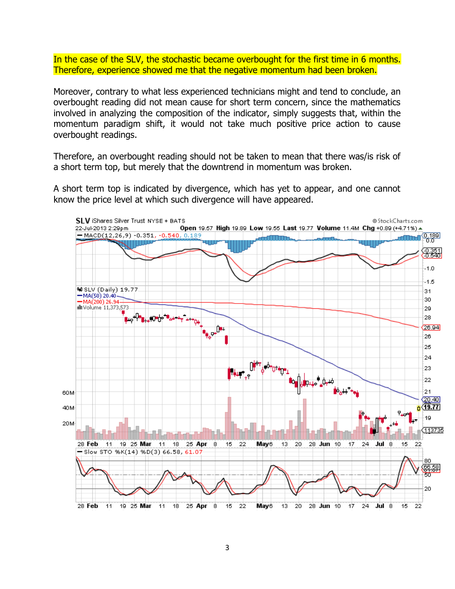In the case of the SLV, the stochastic became overbought for the first time in 6 months. Therefore, experience showed me that the negative momentum had been broken.

Moreover, contrary to what less experienced technicians might and tend to conclude, an overbought reading did not mean cause for short term concern, since the mathematics involved in analyzing the composition of the indicator, simply suggests that, within the momentum paradigm shift, it would not take much positive price action to cause overbought readings.

Therefore, an overbought reading should not be taken to mean that there was/is risk of a short term top, but merely that the downtrend in momentum was broken.

A short term top is indicated by divergence, which has yet to appear, and one cannot know the price level at which such divergence will have appeared.